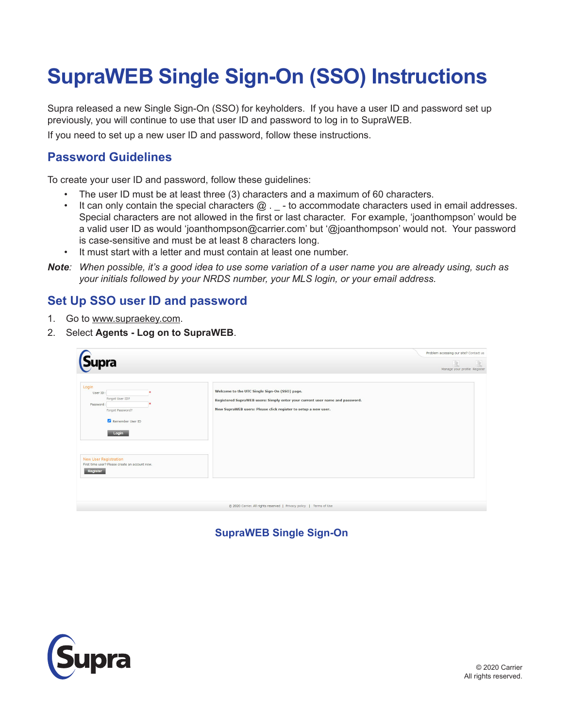## **SupraWEB Single Sign-On (SSO) Instructions**

Supra released a new Single Sign-On (SSO) for keyholders. If you have a user ID and password set up previously, you will continue to use that user ID and password to log in to SupraWEB.

If you need to set up a new user ID and password, follow these instructions.

## **Password Guidelines**

To create your user ID and password, follow these guidelines:

- The user ID must be at least three (3) characters and a maximum of 60 characters.
- It can only contain the special characters  $@. \_$  to accommodate characters used in email addresses. Special characters are not allowed in the first or last character. For example, 'joanthompson' would be a valid user ID as would 'joanthompson@carrier.com' but '@joanthompson' would not. Your password is case-sensitive and must be at least 8 characters long.
- It must start with a letter and must contain at least one number.
- *Note: When possible, it's a good idea to use some variation of a user name you are already using, such as your initials followed by your NRDS number, your MLS login, or your email address.*

## **Set Up SSO user ID and password**

- 1. Go to www.supraekey.com.
- 2. Select **Agents Log on to SupraWEB**.

| Supra                                                                                              |                                                                                                                                                                                                 | Problem accessing our site? Contact us<br>1a<br>Manage your profile Register |
|----------------------------------------------------------------------------------------------------|-------------------------------------------------------------------------------------------------------------------------------------------------------------------------------------------------|------------------------------------------------------------------------------|
| Login<br>User ID:<br>Forgot User ID?<br>Password:<br>Forgot Password?<br>Remember User ID<br>Login | Welcome to the UTC Single Sign-On (SSO) page.<br>Registered SupraWEB users: Simply enter your current user name and password.<br>New SupraWEB users: Please click register to setup a new user. |                                                                              |
| <b>New User Registration</b><br>First time user? Please create an account now.<br>Register         |                                                                                                                                                                                                 |                                                                              |
|                                                                                                    | @ 2020 Carrier. All rights reserved   Privacy policy   Terms of Use                                                                                                                             |                                                                              |

**SupraWEB Single Sign-On**